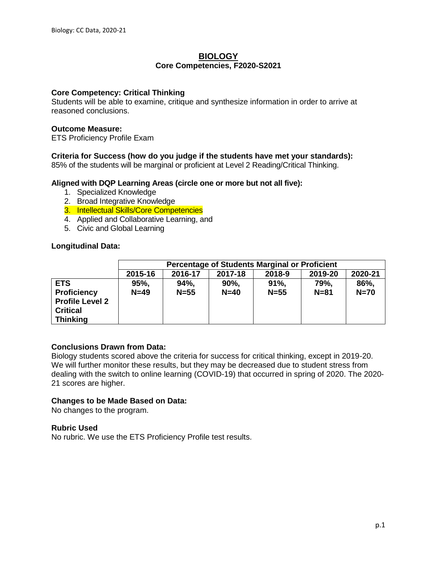## **BIOLOGY Core Competencies, F2020-S2021**

## **Core Competency: Critical Thinking**

Students will be able to examine, critique and synthesize information in order to arrive at reasoned conclusions.

## **Outcome Measure:**

ETS Proficiency Profile Exam

# **Criteria for Success (how do you judge if the students have met your standards):**

85% of the students will be marginal or proficient at Level 2 Reading/Critical Thinking.

## **Aligned with DQP Learning Areas (circle one or more but not all five):**

- 1. Specialized Knowledge
- 2. Broad Integrative Knowledge
- 3. Intellectual Skills/Core Competencies
- 4. Applied and Collaborative Learning, and
- 5. Civic and Global Learning

## **Longitudinal Data:**

|                                           | <b>Percentage of Students Marginal or Proficient</b> |                |                |                 |                  |                |
|-------------------------------------------|------------------------------------------------------|----------------|----------------|-----------------|------------------|----------------|
|                                           | 2015-16                                              | 2016-17        | 2017-18        | 2018-9          | 2019-20          | 2020-21        |
| <b>ETS</b><br><b>Proficiency</b>          | 95%,<br>$N=49$                                       | 94%,<br>$N=55$ | 90%,<br>$N=40$ | 91%<br>$N = 55$ | 79%.<br>$N = 81$ | 86%,<br>$N=70$ |
| <b>Profile Level 2</b><br><b>Critical</b> |                                                      |                |                |                 |                  |                |
| <b>Thinking</b>                           |                                                      |                |                |                 |                  |                |

# **Conclusions Drawn from Data:**

Biology students scored above the criteria for success for critical thinking, except in 2019-20. We will further monitor these results, but they may be decreased due to student stress from dealing with the switch to online learning (COVID-19) that occurred in spring of 2020. The 2020- 21 scores are higher.

# **Changes to be Made Based on Data:**

No changes to the program.

## **Rubric Used**

No rubric. We use the ETS Proficiency Profile test results.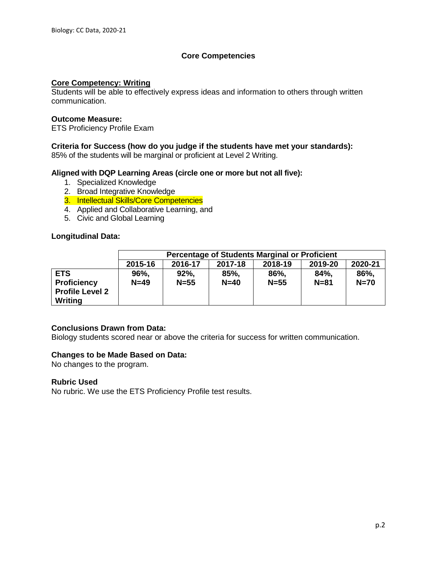# **Core Competencies**

## **Core Competency: Writing**

Students will be able to effectively express ideas and information to others through written communication.

## **Outcome Measure:**

ETS Proficiency Profile Exam

## **Criteria for Success (how do you judge if the students have met your standards):**

85% of the students will be marginal or proficient at Level 2 Writing.

## **Aligned with DQP Learning Areas (circle one or more but not all five):**

- 1. Specialized Knowledge
- 2. Broad Integrative Knowledge
- 3. Intellectual Skills/Core Competencies
- 4. Applied and Collaborative Learning, and
- 5. Civic and Global Learning

## **Longitudinal Data:**

|                                                                       | <b>Percentage of Students Marginal or Proficient</b>           |                 |                |                  |                  |                |  |
|-----------------------------------------------------------------------|----------------------------------------------------------------|-----------------|----------------|------------------|------------------|----------------|--|
|                                                                       | 2020-21<br>2016-17<br>2019-20<br>2015-16<br>2018-19<br>2017-18 |                 |                |                  |                  |                |  |
| <b>ETS</b><br><b>Proficiency</b><br><b>Profile Level 2</b><br>Writing | 96%,<br>$N=49$                                                 | 92%<br>$N = 55$ | 85%,<br>$N=40$ | 86%,<br>$N = 55$ | 84%,<br>$N = 81$ | 86%,<br>$N=70$ |  |

## **Conclusions Drawn from Data:**

Biology students scored near or above the criteria for success for written communication.

## **Changes to be Made Based on Data:**

No changes to the program.

## **Rubric Used**

No rubric. We use the ETS Proficiency Profile test results.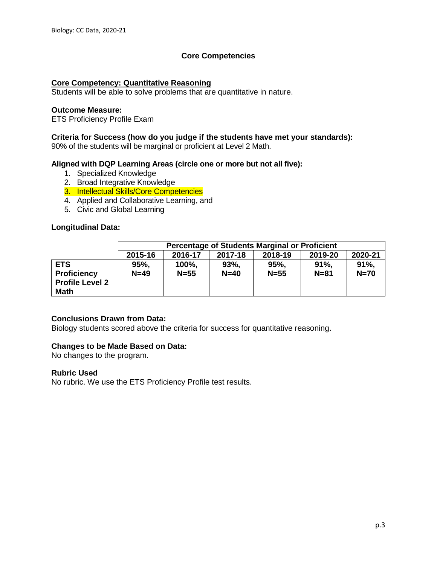# **Core Competencies**

## **Core Competency: Quantitative Reasoning**

Students will be able to solve problems that are quantitative in nature.

## **Outcome Measure:**

ETS Proficiency Profile Exam

## **Criteria for Success (how do you judge if the students have met your standards):**

90% of the students will be marginal or proficient at Level 2 Math.

## **Aligned with DQP Learning Areas (circle one or more but not all five):**

- 1. Specialized Knowledge
- 2. Broad Integrative Knowledge
- 3. Intellectual Skills/Core Competencies
- 4. Applied and Collaborative Learning, and
- 5. Civic and Global Learning

## **Longitudinal Data:**

|                                                                           | <b>Percentage of Students Marginal or Proficient</b>           |                 |                |                |                 |                   |  |
|---------------------------------------------------------------------------|----------------------------------------------------------------|-----------------|----------------|----------------|-----------------|-------------------|--|
|                                                                           | 2020-21<br>2019-20<br>2015-16<br>2016-17<br>2018-19<br>2017-18 |                 |                |                |                 |                   |  |
| <b>ETS</b><br><b>Proficiency</b><br><b>Profile Level 2</b><br><b>Math</b> | 95%,<br>$N=49$                                                 | 100%,<br>$N=55$ | 93%,<br>$N=40$ | 95%,<br>$N=55$ | 91%<br>$N = 81$ | $91%$ .<br>$N=70$ |  |

## **Conclusions Drawn from Data:**

Biology students scored above the criteria for success for quantitative reasoning.

# **Changes to be Made Based on Data:**

No changes to the program.

## **Rubric Used**

No rubric. We use the ETS Proficiency Profile test results.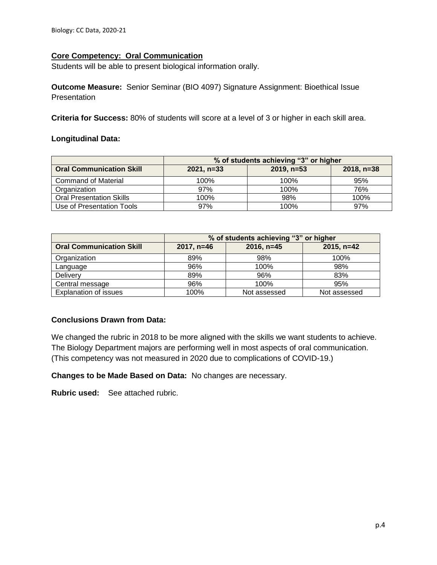# **Core Competency: Oral Communication**

Students will be able to present biological information orally.

**Outcome Measure:** Senior Seminar (BIO 4097) Signature Assignment: Bioethical Issue Presentation

**Criteria for Success:** 80% of students will score at a level of 3 or higher in each skill area.

## **Longitudinal Data:**

|                                 | % of students achieving "3" or higher |              |              |  |  |
|---------------------------------|---------------------------------------|--------------|--------------|--|--|
| <b>Oral Communication Skill</b> | $2021. n=33$                          | $2019, n=53$ | $2018, n=38$ |  |  |
| <b>Command of Material</b>      | 100%                                  | 100%         | 95%          |  |  |
| Organization                    | 97%                                   | 100%         | 76%          |  |  |
| <b>Oral Presentation Skills</b> | 100%                                  | 98%          | 100%         |  |  |
| Use of Presentation Tools       | 97%                                   | 100%         | 97%          |  |  |

|                                 | % of students achieving "3" or higher |              |              |  |  |  |
|---------------------------------|---------------------------------------|--------------|--------------|--|--|--|
| <b>Oral Communication Skill</b> | $2017, n=46$                          | $2016, n=45$ | $2015, n=42$ |  |  |  |
| Organization                    | 89%                                   | 98%          | 100%         |  |  |  |
| Language                        | 96%                                   | 100%         | 98%          |  |  |  |
| Delivery                        | 89%                                   | 96%          | 83%          |  |  |  |
| Central message                 | 96%                                   | 100%         | 95%          |  |  |  |
| <b>Explanation of issues</b>    | 100%                                  | Not assessed | Not assessed |  |  |  |

# **Conclusions Drawn from Data:**

We changed the rubric in 2018 to be more aligned with the skills we want students to achieve. The Biology Department majors are performing well in most aspects of oral communication. (This competency was not measured in 2020 due to complications of COVID-19.)

**Changes to be Made Based on Data:** No changes are necessary.

**Rubric used:** See attached rubric.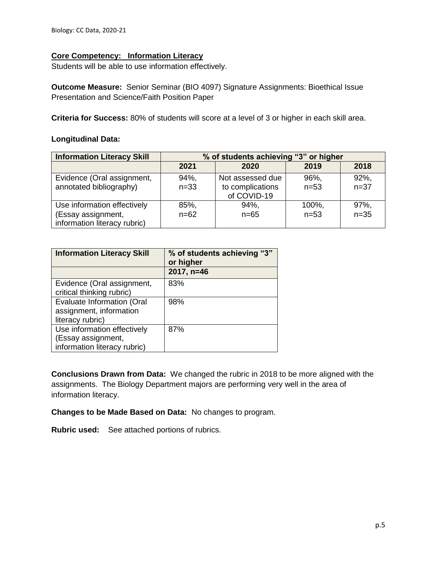# **Core Competency: Information Literacy**

Students will be able to use information effectively.

**Outcome Measure:** Senior Seminar (BIO 4097) Signature Assignments: Bioethical Issue Presentation and Science/Faith Position Paper

**Criteria for Success:** 80% of students will score at a level of 3 or higher in each skill area.

## **Longitudinal Data:**

| <b>Information Literacy Skill</b>                  | % of students achieving "3" or higher |                                 |          |          |  |
|----------------------------------------------------|---------------------------------------|---------------------------------|----------|----------|--|
|                                                    | 2021                                  | 2020                            | 2019     | 2018     |  |
| Evidence (Oral assignment,                         | 94%.                                  | Not assessed due                | 96%,     | 92%,     |  |
| annotated bibliography)                            | $n=33$                                | to complications<br>of COVID-19 | $n = 53$ | $n = 37$ |  |
| Use information effectively                        | 85%,                                  | 94%.                            | 100%,    | 97%,     |  |
| (Essay assignment,<br>information literacy rubric) | $n = 62$                              | $n = 65$                        | $n = 53$ | $n=35$   |  |

| <b>Information Literacy Skill</b>                                                 | % of students achieving "3"<br>or higher |
|-----------------------------------------------------------------------------------|------------------------------------------|
|                                                                                   | 2017, n=46                               |
| Evidence (Oral assignment,<br>critical thinking rubric)                           | 83%                                      |
| <b>Evaluate Information (Oral</b><br>assignment, information<br>literacy rubric)  | 98%                                      |
| Use information effectively<br>(Essay assignment,<br>information literacy rubric) | 87%                                      |

**Conclusions Drawn from Data:** We changed the rubric in 2018 to be more aligned with the assignments. The Biology Department majors are performing very well in the area of information literacy.

**Changes to be Made Based on Data:** No changes to program.

**Rubric used:** See attached portions of rubrics.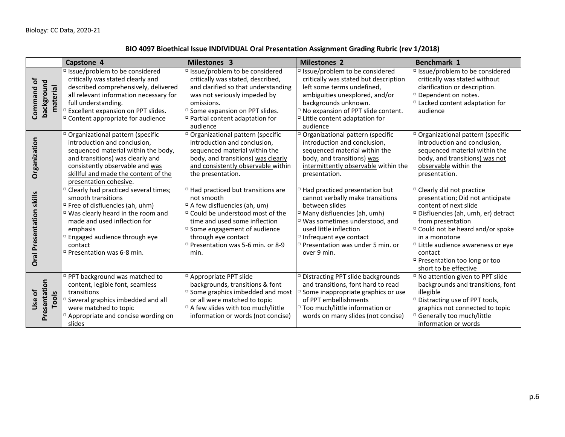# **BIO 4097 Bioethical Issue INDIVIDUAL Oral Presentation Assignment Grading Rubric (rev 1/2018)**

|                                      | Capstone 4                                                                                                                                                                                                                                                                                                  | Milestones 3                                                                                                                                                                                                                                                                                               | <b>Milestones 2</b>                                                                                                                                                                                                                                                                                         | <b>Benchmark 1</b>                                                                                                                                                                                                                                                                                                                                      |
|--------------------------------------|-------------------------------------------------------------------------------------------------------------------------------------------------------------------------------------------------------------------------------------------------------------------------------------------------------------|------------------------------------------------------------------------------------------------------------------------------------------------------------------------------------------------------------------------------------------------------------------------------------------------------------|-------------------------------------------------------------------------------------------------------------------------------------------------------------------------------------------------------------------------------------------------------------------------------------------------------------|---------------------------------------------------------------------------------------------------------------------------------------------------------------------------------------------------------------------------------------------------------------------------------------------------------------------------------------------------------|
| Command of<br>background<br>material | □ Issue/problem to be considered<br>critically was stated clearly and<br>described comprehensively, delivered<br>all relevant information necessary for<br>full understanding.<br><sup>D</sup> Excellent expansion on PPT slides.<br><sup>D</sup> Content appropriate for audience                          | □ Issue/problem to be considered<br>critically was stated, described,<br>and clarified so that understanding<br>was not seriously impeded by<br>omissions.<br><sup>D</sup> Some expansion on PPT slides.<br><sup>D</sup> Partial content adaptation for<br>audience                                        | □ Issue/problem to be considered<br>critically was stated but description<br>left some terms undefined,<br>ambiguities unexplored, and/or<br>backgrounds unknown.<br><sup>D</sup> No expansion of PPT slide content.<br>□ Little content adaptation for<br>audience                                         | □ Issue/problem to be considered<br>critically was stated without<br>clarification or description.<br><sup>D</sup> Dependent on notes.<br>$\Box$ Lacked content adaptation for<br>audience                                                                                                                                                              |
| Organization                         | <sup>D</sup> Organizational pattern (specific<br>introduction and conclusion,<br>sequenced material within the body,<br>and transitions) was clearly and<br>consistently observable and was<br>skillful and made the content of the<br>presentation cohesive.                                               | <sup>D</sup> Organizational pattern (specific<br>introduction and conclusion,<br>sequenced material within the<br>body, and transitions) was clearly<br>and consistently observable within<br>the presentation.                                                                                            | <sup>D</sup> Organizational pattern (specific<br>introduction and conclusion,<br>sequenced material within the<br>body, and transitions) was<br>intermittently observable within the<br>presentation.                                                                                                       | <sup>D</sup> Organizational pattern (specific<br>introduction and conclusion,<br>sequenced material within the<br>body, and transitions) was not<br>observable within the<br>presentation.                                                                                                                                                              |
| skills<br>Presentation<br>Oral       | <sup>D</sup> Clearly had practiced several times;<br>smooth transitions<br><sup>D</sup> Free of disfluencies (ah, uhm)<br>□ Was clearly heard in the room and<br>made and used inflection for<br>emphasis<br><sup>n</sup> Engaged audience through eye<br>contact<br><sup>D</sup> Presentation was 6-8 min. | <sup>D</sup> Had practiced but transitions are<br>not smooth<br><sup>□</sup> A few disfluencies (ah, um)<br>□ Could be understood most of the<br>time and used some inflection<br><sup>D</sup> Some engagement of audience<br>through eye contact<br><sup>D</sup> Presentation was 5-6 min. or 8-9<br>min. | <sup>D</sup> Had practiced presentation but<br>cannot verbally make transitions<br>between slides<br><sup>D</sup> Many disfluencies (ah, umh)<br>$\Box$ Was sometimes understood, and<br>used little inflection<br>□ Infrequent eye contact<br><sup>D</sup> Presentation was under 5 min. or<br>over 9 min. | <sup>D</sup> Clearly did not practice<br>presentation; Did not anticipate<br>content of next slide<br><sup>D</sup> Disfluencies (ah, umh, er) detract<br>from presentation<br>□ Could not be heard and/or spoke<br>in a monotone<br><sup>D</sup> Little audience awareness or eye<br>contact<br>□ Presentation too long or too<br>short to be effective |
| Presentation<br>Use of<br>Tools      | □ PPT background was matched to<br>content, legible font, seamless<br>transitions<br><sup>D</sup> Several graphics imbedded and all<br>were matched to topic<br>Appropriate and concise wording on<br>slides                                                                                                | <sup>D</sup> Appropriate PPT slide<br>backgrounds, transitions & font<br><sup>D</sup> Some graphics imbedded and most<br>or all were matched to topic<br><sup>D</sup> A few slides with too much/little<br>information or words (not concise)                                                              | <sup>D</sup> Distracting PPT slide backgrounds<br>and transitions, font hard to read<br><sup>D</sup> Some inappropriate graphics or use<br>of PPT embellishments<br>□ Too much/little information or<br>words on many slides (not concise)                                                                  | <sup>D</sup> No attention given to PPT slide<br>backgrounds and transitions, font<br>illegible<br><sup>D</sup> Distracting use of PPT tools,<br>graphics not connected to topic<br><sup>D</sup> Generally too much/little<br>information or words                                                                                                       |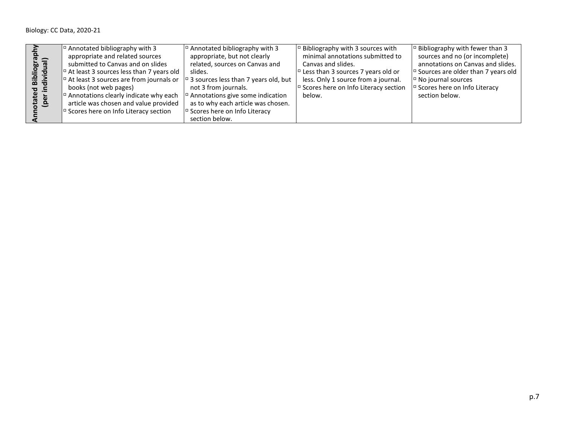|                | $\vert$ <sup><math>\vert</math></sup> Annotated bibliography with 3                                                    | $\vert$ <sup><math>\vert</math></sup> Annotated bibliography with 3     | $\vert$ <sup><math>\vert</math></sup> Bibliography with 3 sources with   | $\vert$ <sup><math>\vert</math></sup> Bibliography with fewer than 3     |
|----------------|------------------------------------------------------------------------------------------------------------------------|-------------------------------------------------------------------------|--------------------------------------------------------------------------|--------------------------------------------------------------------------|
| $\bar{c}$ =    | appropriate and related sources                                                                                        | appropriate, but not clearly                                            | minimal annotations submitted to                                         | sources and no (or incomplete)                                           |
| <u> @ @</u>    | submitted to Canvas and on slides                                                                                      | related, sources on Canvas and                                          | Canvas and slides.                                                       | annotations on Canvas and slides.                                        |
| <u>ੁੰ</u><br>ᄒ | $\vert$ <sup><math>\vert</math></sup> At least 3 sources less than 7 years old                                         | slides.                                                                 | $\vert$ <sup><math>\vert</math></sup> Less than 3 sources 7 years old or | $\vert$ <sup><math>\vert</math></sup> Sources are older than 7 years old |
| ia<br>aixi     | $\vert$ <sup>o</sup> At least 3 sources are from journals or $\vert$ <sup>o</sup> 3 sources less than 7 years old, but |                                                                         | less. Only 1 source from a journal.                                      | $\Box$ No journal sources                                                |
| $\sigma$ $\Xi$ | books (not web pages)                                                                                                  | not 3 from journals.                                                    | Scores here on Info Literacy section                                     | $\vert$ <sup><math>\vert</math></sup> Scores here on Info Literacy       |
|                | $\vert$ <sup><math>\vert</math></sup> Annotations clearly indicate why each                                            | $\vert$ <sup><math>\sigma</math></sup> Annotations give some indication | below.                                                                   | section below.                                                           |
| 품 은            | article was chosen and value provided                                                                                  | as to why each article was chosen.                                      |                                                                          |                                                                          |
|                | $\vert$ <sup><math>\vert</math></sup> Scores here on Info Literacy section                                             | $\vert$ <sup><math>\vert</math></sup> Scores here on Info Literacy      |                                                                          |                                                                          |
|                |                                                                                                                        | section below.                                                          |                                                                          |                                                                          |